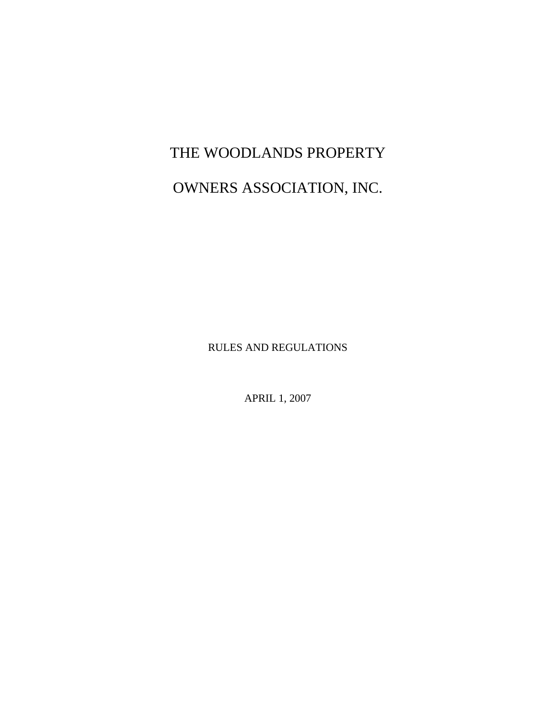# THE WOODLANDS PROPERTY

## OWNERS ASSOCIATION, INC.

RULES AND REGULATIONS

APRIL 1, 2007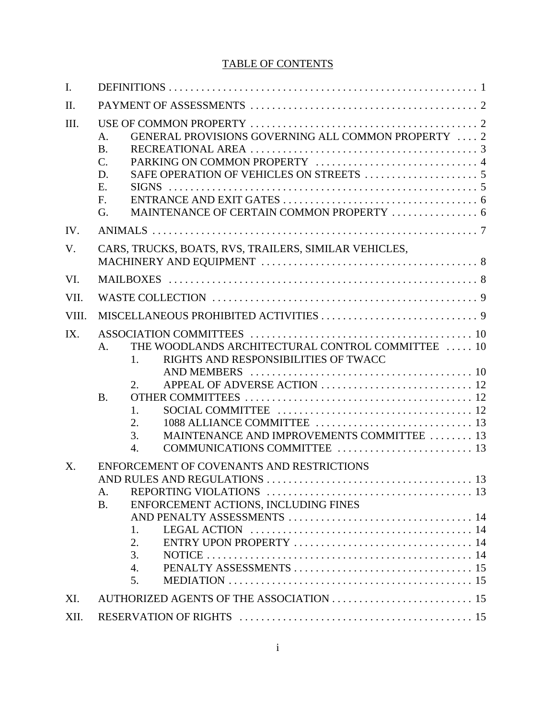### TABLE OF CONTENTS

| $\mathbf{I}$ . |                                                                                                                                            |
|----------------|--------------------------------------------------------------------------------------------------------------------------------------------|
| II.            |                                                                                                                                            |
| III.           | GENERAL PROVISIONS GOVERNING ALL COMMON PROPERTY  2<br>A.<br><b>B.</b><br>C.<br>D.<br>E.<br>F.<br>G.                                       |
| IV.            |                                                                                                                                            |
| V.             | CARS, TRUCKS, BOATS, RVS, TRAILERS, SIMILAR VEHICLES,                                                                                      |
| VI.            |                                                                                                                                            |
| VII.           |                                                                                                                                            |
| VIII.          |                                                                                                                                            |
| IX.            | THE WOODLANDS ARCHITECTURAL CONTROL COMMITTEE  10<br>$\mathsf{A}$ .<br>RIGHTS AND RESPONSIBILITIES OF TWACC<br>1.<br>2.<br><b>B.</b><br>1. |
|                | 2.<br>MAINTENANCE AND IMPROVEMENTS COMMITTEE  13<br>3.<br>4.                                                                               |
| X.             | ENFORCEMENT OF COVENANTS AND RESTRICTIONS<br>A.<br>ENFORCEMENT ACTIONS, INCLUDING FINES<br><b>B.</b><br>1.<br>2.<br>3.<br>4.<br>5.         |
| XI.            |                                                                                                                                            |
| XII.           |                                                                                                                                            |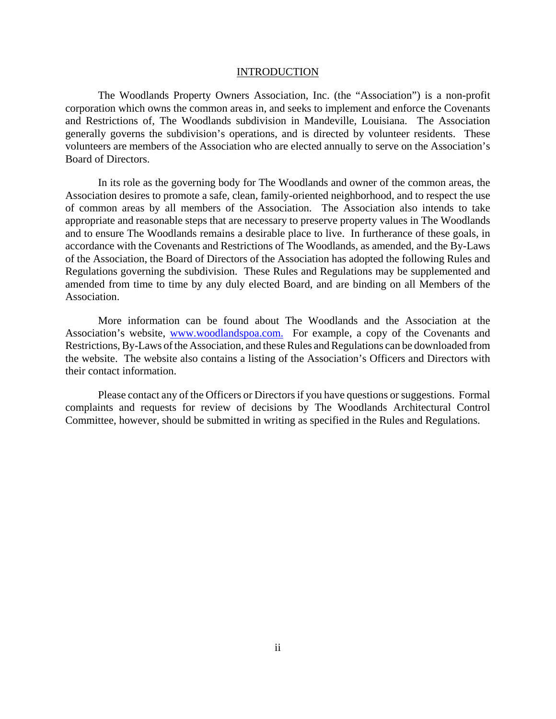#### INTRODUCTION

The Woodlands Property Owners Association, Inc. (the "Association") is a non-profit corporation which owns the common areas in, and seeks to implement and enforce the Covenants and Restrictions of, The Woodlands subdivision in Mandeville, Louisiana. The Association generally governs the subdivision's operations, and is directed by volunteer residents. These volunteers are members of the Association who are elected annually to serve on the Association's Board of Directors.

In its role as the governing body for The Woodlands and owner of the common areas, the Association desires to promote a safe, clean, family-oriented neighborhood, and to respect the use of common areas by all members of the Association. The Association also intends to take appropriate and reasonable steps that are necessary to preserve property values in The Woodlands and to ensure The Woodlands remains a desirable place to live. In furtherance of these goals, in accordance with the Covenants and Restrictions of The Woodlands, as amended, and the By-Laws of the Association, the Board of Directors of the Association has adopted the following Rules and Regulations governing the subdivision. These Rules and Regulations may be supplemented and amended from time to time by any duly elected Board, and are binding on all Members of the Association.

More information can be found about The Woodlands and the Association at the Association's website, www.woodlandspoa.com. For example, a copy of the Covenants and Restrictions, By-Laws of the Association, and these Rules and Regulations can be downloaded from the website. The website also contains a listing of the Association's Officers and Directors with their contact information.

Please contact any of the Officers or Directors if you have questions or suggestions. Formal complaints and requests for review of decisions by The Woodlands Architectural Control Committee, however, should be submitted in writing as specified in the Rules and Regulations.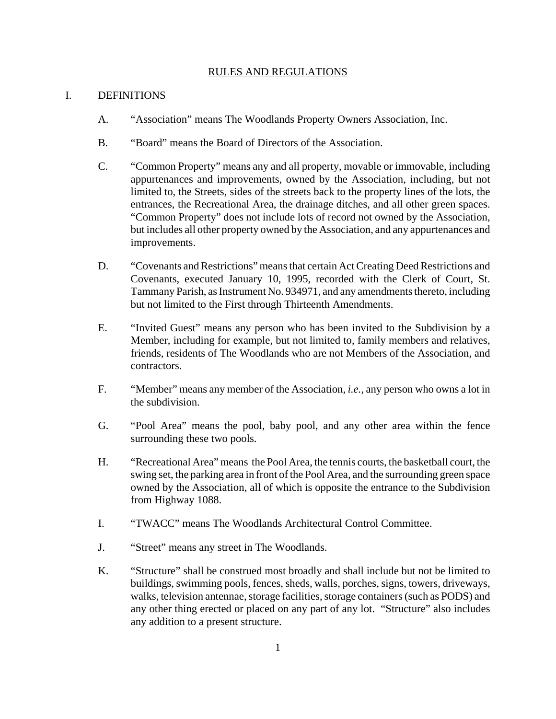#### RULES AND REGULATIONS

#### I. DEFINITIONS

- A. "Association" means The Woodlands Property Owners Association, Inc.
- B. "Board" means the Board of Directors of the Association.
- C. "Common Property" means any and all property, movable or immovable, including appurtenances and improvements, owned by the Association, including, but not limited to, the Streets, sides of the streets back to the property lines of the lots, the entrances, the Recreational Area, the drainage ditches, and all other green spaces. "Common Property" does not include lots of record not owned by the Association, but includes all other property owned by the Association, and any appurtenances and improvements.
- D. "Covenants and Restrictions" means that certain Act Creating Deed Restrictions and Covenants, executed January 10, 1995, recorded with the Clerk of Court, St. Tammany Parish, as Instrument No. 934971, and any amendments thereto, including but not limited to the First through Thirteenth Amendments.
- E. "Invited Guest" means any person who has been invited to the Subdivision by a Member, including for example, but not limited to, family members and relatives, friends, residents of The Woodlands who are not Members of the Association, and contractors.
- F. "Member" means any member of the Association, *i.e.*, any person who owns a lot in the subdivision.
- G. "Pool Area" means the pool, baby pool, and any other area within the fence surrounding these two pools.
- H. "Recreational Area" means the Pool Area, the tennis courts, the basketball court, the swing set, the parking area in front of the Pool Area, and the surrounding green space owned by the Association, all of which is opposite the entrance to the Subdivision from Highway 1088.
- I. "TWACC" means The Woodlands Architectural Control Committee.
- J. "Street" means any street in The Woodlands.
- K. "Structure" shall be construed most broadly and shall include but not be limited to buildings, swimming pools, fences, sheds, walls, porches, signs, towers, driveways, walks, television antennae, storage facilities, storage containers (such as PODS) and any other thing erected or placed on any part of any lot. "Structure" also includes any addition to a present structure.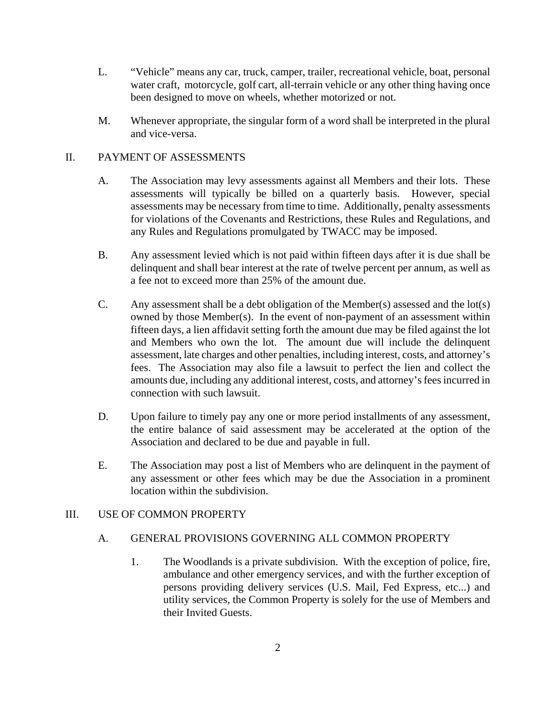- L. "Vehicle" means any car, truck, camper, trailer, recreational vehicle, boat, personal water craft, motorcycle, golf cart, all-terrain vehicle or any other thing having once been designed to move on wheels, whether motorized or not.
- M. Whenever appropriate, the singular form of a word shall be interpreted in the plural and vice-versa.

#### II. PAYMENT OF ASSESSMENTS

- A. The Association may levy assessments against all Members and their lots. These assessments will typically be billed on a quarterly basis. However, special assessments may be necessary from time to time. Additionally, penalty assessments for violations of the Covenants and Restrictions, these Rules and Regulations, and any Rules and Regulations promulgated by TWACC may be imposed.
- B. Any assessment levied which is not paid within fifteen days after it is due shall be delinquent and shall bear interest at the rate of twelve percent per annum, as well as a fee not to exceed more than 25% of the amount due.
- C. Any assessment shall be a debt obligation of the Member(s) assessed and the lot(s) owned by those Member(s). In the event of non-payment of an assessment within fifteen days, a lien affidavit setting forth the amount due may be filed against the lot and Members who own the lot. The amount due will include the delinquent assessment, late charges and other penalties, including interest, costs, and attorney's fees. The Association may also file a lawsuit to perfect the lien and collect the amounts due, including any additional interest, costs, and attorney's fees incurred in connection with such lawsuit.
- D. Upon failure to timely pay any one or more period installments of any assessment, the entire balance of said assessment may be accelerated at the option of the Association and declared to be due and payable in full.
- E. The Association may post a list of Members who are delinquent in the payment of any assessment or other fees which may be due the Association in a prominent location within the subdivision.

#### III. USE OF COMMON PROPERTY

#### A. GENERAL PROVISIONS GOVERNING ALL COMMON PROPERTY

1. The Woodlands is a private subdivision. With the exception of police, fire, ambulance and other emergency services, and with the further exception of persons providing delivery services (U.S. Mail, Fed Express, etc...) and utility services, the Common Property is solely for the use of Members and their Invited Guests.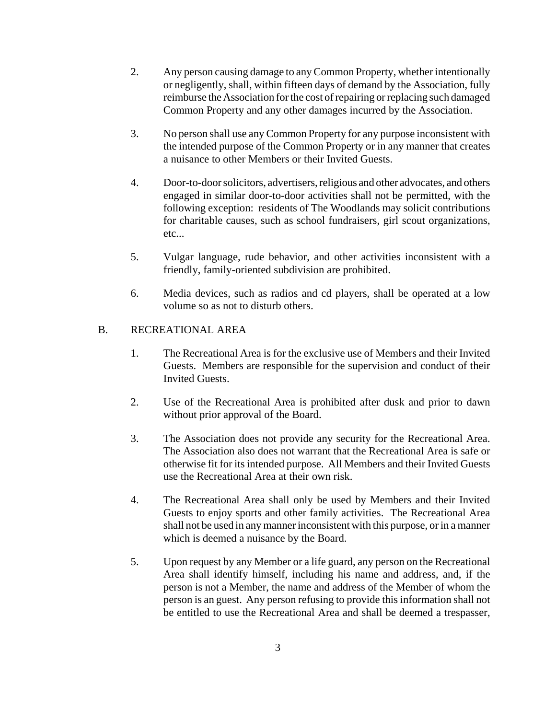- 2. Any person causing damage to any Common Property, whether intentionally or negligently, shall, within fifteen days of demand by the Association, fully reimburse the Association for the cost of repairing or replacing such damaged Common Property and any other damages incurred by the Association.
- 3. No person shall use any Common Property for any purpose inconsistent with the intended purpose of the Common Property or in any manner that creates a nuisance to other Members or their Invited Guests.
- 4. Door-to-door solicitors, advertisers, religious and other advocates, and others engaged in similar door-to-door activities shall not be permitted, with the following exception: residents of The Woodlands may solicit contributions for charitable causes, such as school fundraisers, girl scout organizations, etc...
- 5. Vulgar language, rude behavior, and other activities inconsistent with a friendly, family-oriented subdivision are prohibited.
- 6. Media devices, such as radios and cd players, shall be operated at a low volume so as not to disturb others.

#### B. RECREATIONAL AREA

- 1. The Recreational Area is for the exclusive use of Members and their Invited Guests. Members are responsible for the supervision and conduct of their Invited Guests.
- 2. Use of the Recreational Area is prohibited after dusk and prior to dawn without prior approval of the Board.
- 3. The Association does not provide any security for the Recreational Area. The Association also does not warrant that the Recreational Area is safe or otherwise fit for its intended purpose. All Members and their Invited Guests use the Recreational Area at their own risk.
- 4. The Recreational Area shall only be used by Members and their Invited Guests to enjoy sports and other family activities. The Recreational Area shall not be used in any manner inconsistent with this purpose, or in a manner which is deemed a nuisance by the Board.
- 5. Upon request by any Member or a life guard, any person on the Recreational Area shall identify himself, including his name and address, and, if the person is not a Member, the name and address of the Member of whom the person is an guest. Any person refusing to provide this information shall not be entitled to use the Recreational Area and shall be deemed a trespasser,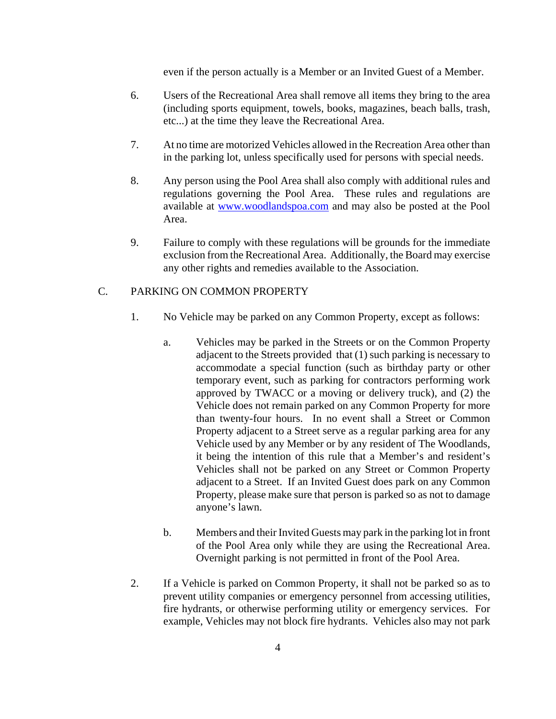even if the person actually is a Member or an Invited Guest of a Member.

- 6. Users of the Recreational Area shall remove all items they bring to the area (including sports equipment, towels, books, magazines, beach balls, trash, etc...) at the time they leave the Recreational Area.
- 7. At no time are motorized Vehicles allowed in the Recreation Area other than in the parking lot, unless specifically used for persons with special needs.
- 8. Any person using the Pool Area shall also comply with additional rules and regulations governing the Pool Area. These rules and regulations are available at www.woodlandspoa.com and may also be posted at the Pool Area.
- 9. Failure to comply with these regulations will be grounds for the immediate exclusion from the Recreational Area. Additionally, the Board may exercise any other rights and remedies available to the Association.

#### C. PARKING ON COMMON PROPERTY

- 1. No Vehicle may be parked on any Common Property, except as follows:
	- a. Vehicles may be parked in the Streets or on the Common Property adjacent to the Streets provided that (1) such parking is necessary to accommodate a special function (such as birthday party or other temporary event, such as parking for contractors performing work approved by TWACC or a moving or delivery truck), and (2) the Vehicle does not remain parked on any Common Property for more than twenty-four hours. In no event shall a Street or Common Property adjacent to a Street serve as a regular parking area for any Vehicle used by any Member or by any resident of The Woodlands, it being the intention of this rule that a Member's and resident's Vehicles shall not be parked on any Street or Common Property adjacent to a Street. If an Invited Guest does park on any Common Property, please make sure that person is parked so as not to damage anyone's lawn.
	- b. Members and their Invited Guests may park in the parking lot in front of the Pool Area only while they are using the Recreational Area. Overnight parking is not permitted in front of the Pool Area.
- 2. If a Vehicle is parked on Common Property, it shall not be parked so as to prevent utility companies or emergency personnel from accessing utilities, fire hydrants, or otherwise performing utility or emergency services. For example, Vehicles may not block fire hydrants. Vehicles also may not park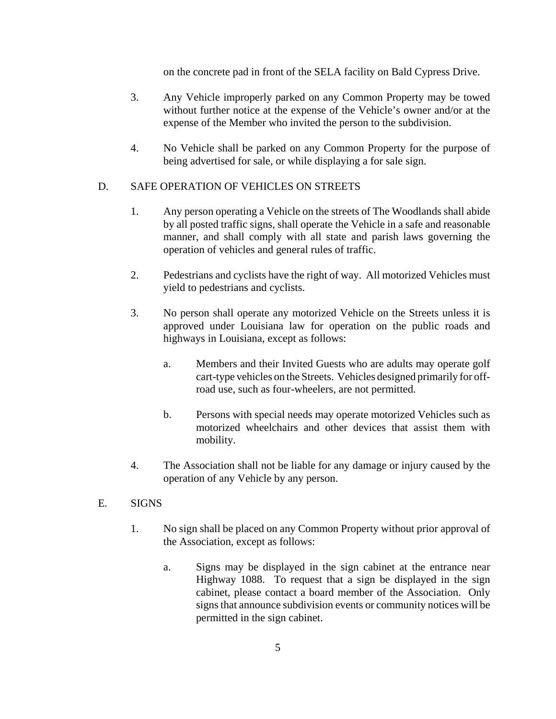on the concrete pad in front of the SELA facility on Bald Cypress Drive.

- 3. Any Vehicle improperly parked on any Common Property may be towed without further notice at the expense of the Vehicle's owner and/or at the expense of the Member who invited the person to the subdivision.
- 4. No Vehicle shall be parked on any Common Property for the purpose of being advertised for sale, or while displaying a for sale sign.

#### D. SAFE OPERATION OF VEHICLES ON STREETS

- 1. Any person operating a Vehicle on the streets of The Woodlands shall abide by all posted traffic signs, shall operate the Vehicle in a safe and reasonable manner, and shall comply with all state and parish laws governing the operation of vehicles and general rules of traffic.
- 2. Pedestrians and cyclists have the right of way. All motorized Vehicles must yield to pedestrians and cyclists.
- 3. No person shall operate any motorized Vehicle on the Streets unless it is approved under Louisiana law for operation on the public roads and highways in Louisiana, except as follows:
	- a. Members and their Invited Guests who are adults may operate golf cart-type vehicles on the Streets. Vehicles designed primarily for offroad use, such as four-wheelers, are not permitted.
	- b. Persons with special needs may operate motorized Vehicles such as motorized wheelchairs and other devices that assist them with mobility.
- 4. The Association shall not be liable for any damage or injury caused by the operation of any Vehicle by any person.

#### E. SIGNS

- 1. No sign shall be placed on any Common Property without prior approval of the Association, except as follows:
	- a. Signs may be displayed in the sign cabinet at the entrance near Highway 1088. To request that a sign be displayed in the sign cabinet, please contact a board member of the Association. Only signs that announce subdivision events or community notices will be permitted in the sign cabinet.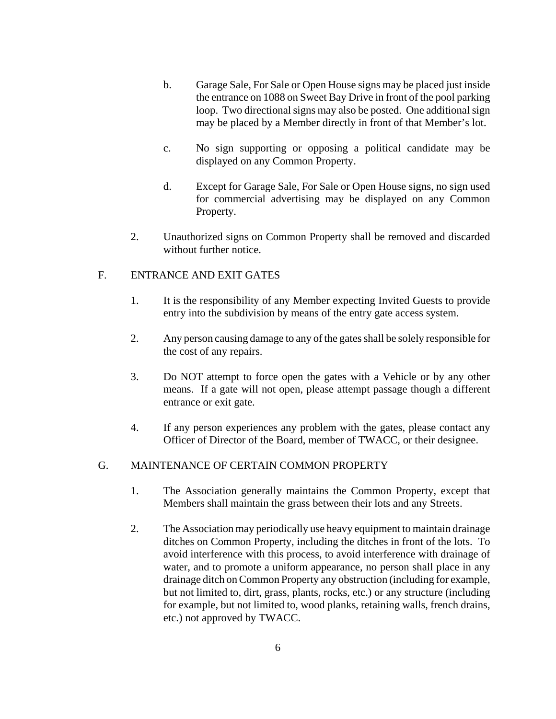- b. Garage Sale, For Sale or Open House signs may be placed just inside the entrance on 1088 on Sweet Bay Drive in front of the pool parking loop. Two directional signs may also be posted. One additional sign may be placed by a Member directly in front of that Member's lot.
- c. No sign supporting or opposing a political candidate may be displayed on any Common Property.
- d. Except for Garage Sale, For Sale or Open House signs, no sign used for commercial advertising may be displayed on any Common Property.
- 2. Unauthorized signs on Common Property shall be removed and discarded without further notice.

#### F. ENTRANCE AND EXIT GATES

- 1. It is the responsibility of any Member expecting Invited Guests to provide entry into the subdivision by means of the entry gate access system.
- 2. Any person causing damage to any of the gates shall be solely responsible for the cost of any repairs.
- 3. Do NOT attempt to force open the gates with a Vehicle or by any other means. If a gate will not open, please attempt passage though a different entrance or exit gate.
- 4. If any person experiences any problem with the gates, please contact any Officer of Director of the Board, member of TWACC, or their designee.

#### G. MAINTENANCE OF CERTAIN COMMON PROPERTY

- 1. The Association generally maintains the Common Property, except that Members shall maintain the grass between their lots and any Streets.
- 2. The Association may periodically use heavy equipment to maintain drainage ditches on Common Property, including the ditches in front of the lots. To avoid interference with this process, to avoid interference with drainage of water, and to promote a uniform appearance, no person shall place in any drainage ditch on Common Property any obstruction (including for example, but not limited to, dirt, grass, plants, rocks, etc.) or any structure (including for example, but not limited to, wood planks, retaining walls, french drains, etc.) not approved by TWACC.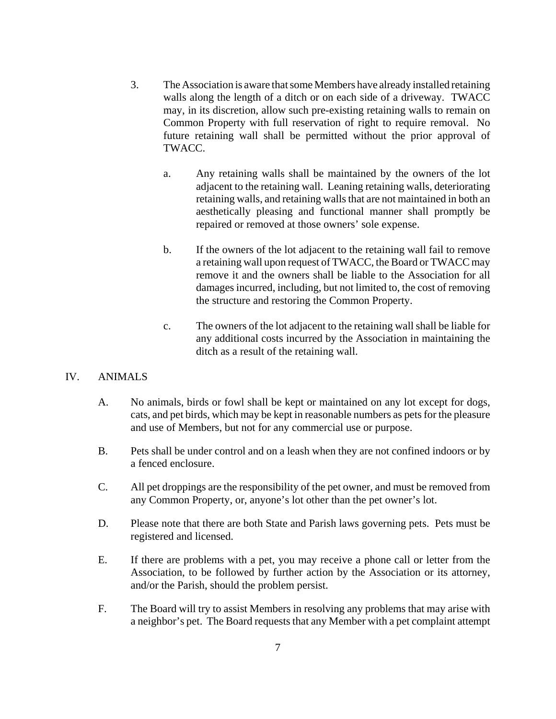- 3. The Association is aware that some Members have already installed retaining walls along the length of a ditch or on each side of a driveway. TWACC may, in its discretion, allow such pre-existing retaining walls to remain on Common Property with full reservation of right to require removal. No future retaining wall shall be permitted without the prior approval of TWACC.
	- a. Any retaining walls shall be maintained by the owners of the lot adjacent to the retaining wall. Leaning retaining walls, deteriorating retaining walls, and retaining walls that are not maintained in both an aesthetically pleasing and functional manner shall promptly be repaired or removed at those owners' sole expense.
	- b. If the owners of the lot adjacent to the retaining wall fail to remove a retaining wall upon request of TWACC, the Board or TWACC may remove it and the owners shall be liable to the Association for all damages incurred, including, but not limited to, the cost of removing the structure and restoring the Common Property.
	- c. The owners of the lot adjacent to the retaining wall shall be liable for any additional costs incurred by the Association in maintaining the ditch as a result of the retaining wall.

#### IV. ANIMALS

- A. No animals, birds or fowl shall be kept or maintained on any lot except for dogs, cats, and pet birds, which may be kept in reasonable numbers as pets for the pleasure and use of Members, but not for any commercial use or purpose.
- B. Pets shall be under control and on a leash when they are not confined indoors or by a fenced enclosure.
- C. All pet droppings are the responsibility of the pet owner, and must be removed from any Common Property, or, anyone's lot other than the pet owner's lot.
- D. Please note that there are both State and Parish laws governing pets. Pets must be registered and licensed.
- E. If there are problems with a pet, you may receive a phone call or letter from the Association, to be followed by further action by the Association or its attorney, and/or the Parish, should the problem persist.
- F. The Board will try to assist Members in resolving any problems that may arise with a neighbor's pet. The Board requests that any Member with a pet complaint attempt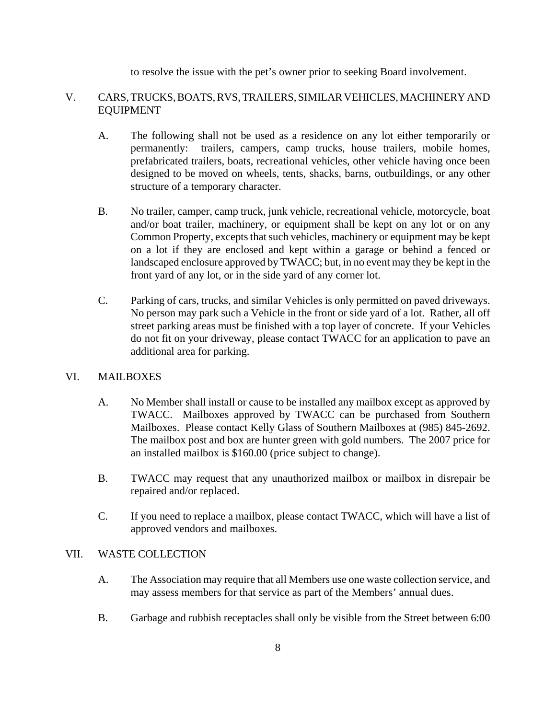to resolve the issue with the pet's owner prior to seeking Board involvement.

#### V. CARS, TRUCKS, BOATS, RVS, TRAILERS, SIMILAR VEHICLES, MACHINERY AND EQUIPMENT

- A. The following shall not be used as a residence on any lot either temporarily or permanently: trailers, campers, camp trucks, house trailers, mobile homes, prefabricated trailers, boats, recreational vehicles, other vehicle having once been designed to be moved on wheels, tents, shacks, barns, outbuildings, or any other structure of a temporary character.
- B. No trailer, camper, camp truck, junk vehicle, recreational vehicle, motorcycle, boat and/or boat trailer, machinery, or equipment shall be kept on any lot or on any Common Property, excepts that such vehicles, machinery or equipment may be kept on a lot if they are enclosed and kept within a garage or behind a fenced or landscaped enclosure approved by TWACC; but, in no event may they be kept in the front yard of any lot, or in the side yard of any corner lot.
- C. Parking of cars, trucks, and similar Vehicles is only permitted on paved driveways. No person may park such a Vehicle in the front or side yard of a lot. Rather, all off street parking areas must be finished with a top layer of concrete. If your Vehicles do not fit on your driveway, please contact TWACC for an application to pave an additional area for parking.

#### VI. MAILBOXES

- A. No Member shall install or cause to be installed any mailbox except as approved by TWACC. Mailboxes approved by TWACC can be purchased from Southern Mailboxes. Please contact Kelly Glass of Southern Mailboxes at (985) 845-2692. The mailbox post and box are hunter green with gold numbers. The 2007 price for an installed mailbox is \$160.00 (price subject to change).
- B. TWACC may request that any unauthorized mailbox or mailbox in disrepair be repaired and/or replaced.
- C. If you need to replace a mailbox, please contact TWACC, which will have a list of approved vendors and mailboxes.

#### VII. WASTE COLLECTION

- A. The Association may require that all Members use one waste collection service, and may assess members for that service as part of the Members' annual dues.
- B. Garbage and rubbish receptacles shall only be visible from the Street between 6:00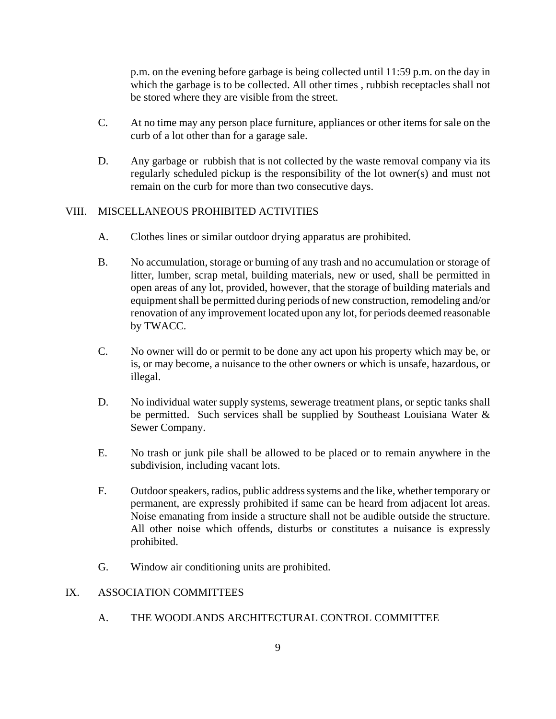p.m. on the evening before garbage is being collected until 11:59 p.m. on the day in which the garbage is to be collected. All other times , rubbish receptacles shall not be stored where they are visible from the street.

- C. At no time may any person place furniture, appliances or other items for sale on the curb of a lot other than for a garage sale.
- D. Any garbage or rubbish that is not collected by the waste removal company via its regularly scheduled pickup is the responsibility of the lot owner(s) and must not remain on the curb for more than two consecutive days.

#### VIII. MISCELLANEOUS PROHIBITED ACTIVITIES

- A. Clothes lines or similar outdoor drying apparatus are prohibited.
- B. No accumulation, storage or burning of any trash and no accumulation or storage of litter, lumber, scrap metal, building materials, new or used, shall be permitted in open areas of any lot, provided, however, that the storage of building materials and equipment shall be permitted during periods of new construction, remodeling and/or renovation of any improvement located upon any lot, for periods deemed reasonable by TWACC.
- C. No owner will do or permit to be done any act upon his property which may be, or is, or may become, a nuisance to the other owners or which is unsafe, hazardous, or illegal.
- D. No individual water supply systems, sewerage treatment plans, or septic tanks shall be permitted. Such services shall be supplied by Southeast Louisiana Water & Sewer Company.
- E. No trash or junk pile shall be allowed to be placed or to remain anywhere in the subdivision, including vacant lots.
- F. Outdoor speakers, radios, public address systems and the like, whether temporary or permanent, are expressly prohibited if same can be heard from adjacent lot areas. Noise emanating from inside a structure shall not be audible outside the structure. All other noise which offends, disturbs or constitutes a nuisance is expressly prohibited.
- G. Window air conditioning units are prohibited.

#### IX. ASSOCIATION COMMITTEES

A. THE WOODLANDS ARCHITECTURAL CONTROL COMMITTEE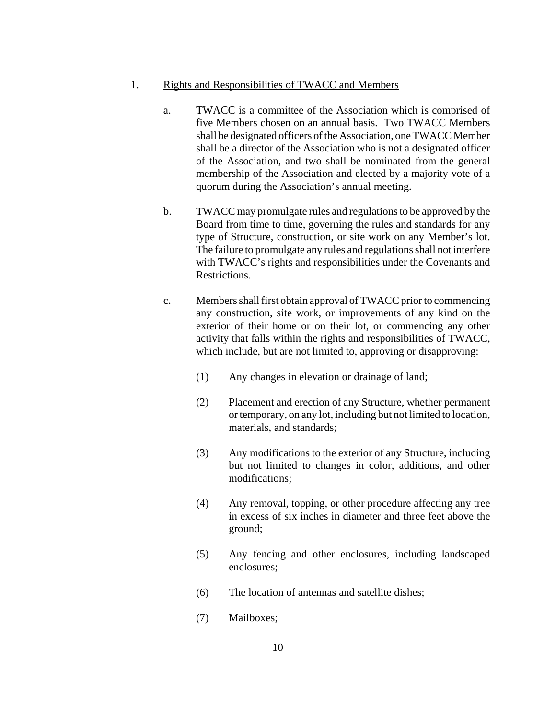#### 1. Rights and Responsibilities of TWACC and Members

- a. TWACC is a committee of the Association which is comprised of five Members chosen on an annual basis. Two TWACC Members shall be designated officers of the Association, one TWACC Member shall be a director of the Association who is not a designated officer of the Association, and two shall be nominated from the general membership of the Association and elected by a majority vote of a quorum during the Association's annual meeting.
- b. TWACC may promulgate rules and regulations to be approved by the Board from time to time, governing the rules and standards for any type of Structure, construction, or site work on any Member's lot. The failure to promulgate any rules and regulations shall not interfere with TWACC's rights and responsibilities under the Covenants and Restrictions.
- c. Members shall first obtain approval of TWACC prior to commencing any construction, site work, or improvements of any kind on the exterior of their home or on their lot, or commencing any other activity that falls within the rights and responsibilities of TWACC, which include, but are not limited to, approving or disapproving:
	- (1) Any changes in elevation or drainage of land;
	- (2) Placement and erection of any Structure, whether permanent or temporary, on any lot, including but not limited to location, materials, and standards;
	- (3) Any modifications to the exterior of any Structure, including but not limited to changes in color, additions, and other modifications;
	- (4) Any removal, topping, or other procedure affecting any tree in excess of six inches in diameter and three feet above the ground;
	- (5) Any fencing and other enclosures, including landscaped enclosures;
	- (6) The location of antennas and satellite dishes;
	- (7) Mailboxes;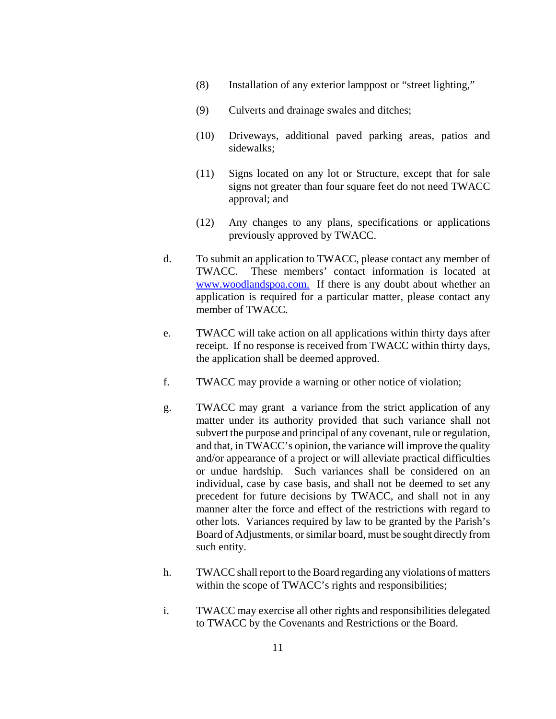- (8) Installation of any exterior lamppost or "street lighting,"
- (9) Culverts and drainage swales and ditches;
- (10) Driveways, additional paved parking areas, patios and sidewalks;
- (11) Signs located on any lot or Structure, except that for sale signs not greater than four square feet do not need TWACC approval; and
- (12) Any changes to any plans, specifications or applications previously approved by TWACC.
- d. To submit an application to TWACC, please contact any member of TWACC. These members' contact information is located at www.woodlandspoa.com. If there is any doubt about whether an application is required for a particular matter, please contact any member of TWACC.
- e. TWACC will take action on all applications within thirty days after receipt. If no response is received from TWACC within thirty days, the application shall be deemed approved.
- f. TWACC may provide a warning or other notice of violation;
- g. TWACC may grant a variance from the strict application of any matter under its authority provided that such variance shall not subvert the purpose and principal of any covenant, rule or regulation, and that, in TWACC's opinion, the variance will improve the quality and/or appearance of a project or will alleviate practical difficulties or undue hardship. Such variances shall be considered on an individual, case by case basis, and shall not be deemed to set any precedent for future decisions by TWACC, and shall not in any manner alter the force and effect of the restrictions with regard to other lots. Variances required by law to be granted by the Parish's Board of Adjustments, or similar board, must be sought directly from such entity.
- h. TWACC shall report to the Board regarding any violations of matters within the scope of TWACC's rights and responsibilities;
- i. TWACC may exercise all other rights and responsibilities delegated to TWACC by the Covenants and Restrictions or the Board.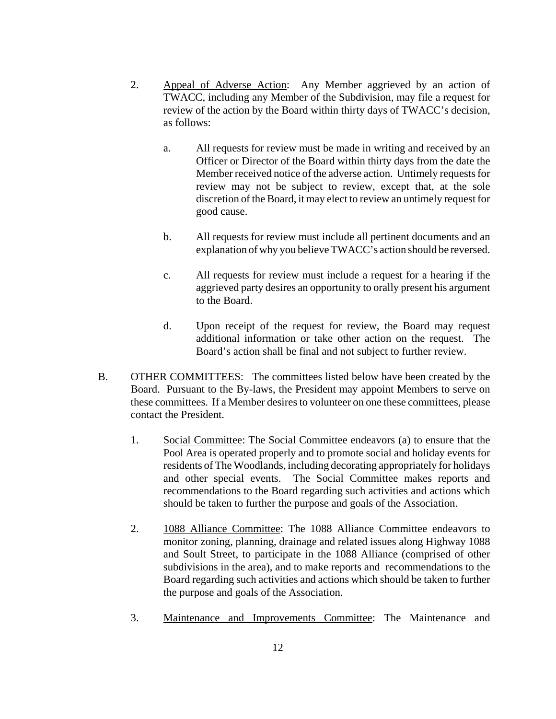- 2. Appeal of Adverse Action: Any Member aggrieved by an action of TWACC, including any Member of the Subdivision, may file a request for review of the action by the Board within thirty days of TWACC's decision, as follows:
	- a. All requests for review must be made in writing and received by an Officer or Director of the Board within thirty days from the date the Member received notice of the adverse action. Untimely requests for review may not be subject to review, except that, at the sole discretion of the Board, it may elect to review an untimely request for good cause.
	- b. All requests for review must include all pertinent documents and an explanation of why you believe TWACC's action should be reversed.
	- c. All requests for review must include a request for a hearing if the aggrieved party desires an opportunity to orally present his argument to the Board.
	- d. Upon receipt of the request for review, the Board may request additional information or take other action on the request. The Board's action shall be final and not subject to further review.
- B. OTHER COMMITTEES: The committees listed below have been created by the Board. Pursuant to the By-laws, the President may appoint Members to serve on these committees. If a Member desires to volunteer on one these committees, please contact the President.
	- 1. Social Committee: The Social Committee endeavors (a) to ensure that the Pool Area is operated properly and to promote social and holiday events for residents of The Woodlands, including decorating appropriately for holidays and other special events. The Social Committee makes reports and recommendations to the Board regarding such activities and actions which should be taken to further the purpose and goals of the Association.
	- 2. 1088 Alliance Committee: The 1088 Alliance Committee endeavors to monitor zoning, planning, drainage and related issues along Highway 1088 and Soult Street, to participate in the 1088 Alliance (comprised of other subdivisions in the area), and to make reports and recommendations to the Board regarding such activities and actions which should be taken to further the purpose and goals of the Association.
	- 3. Maintenance and Improvements Committee: The Maintenance and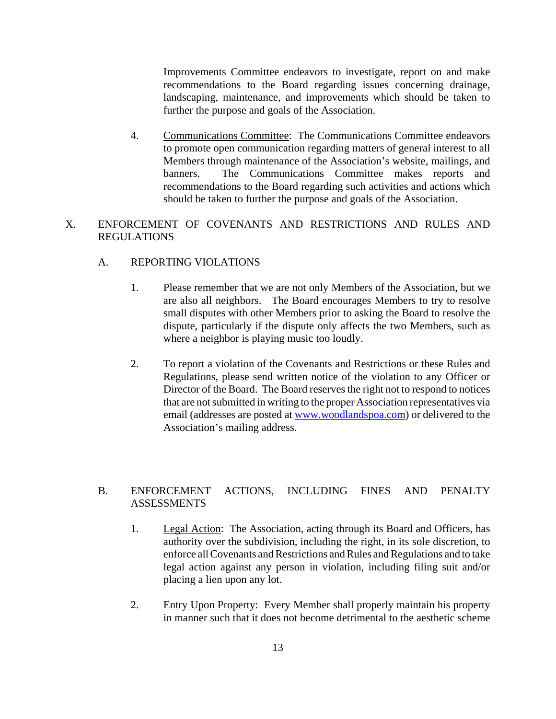Improvements Committee endeavors to investigate, report on and make recommendations to the Board regarding issues concerning drainage, landscaping, maintenance, and improvements which should be taken to further the purpose and goals of the Association.

4. Communications Committee: The Communications Committee endeavors to promote open communication regarding matters of general interest to all Members through maintenance of the Association's website, mailings, and banners. The Communications Committee makes reports and recommendations to the Board regarding such activities and actions which should be taken to further the purpose and goals of the Association.

#### X. ENFORCEMENT OF COVENANTS AND RESTRICTIONS AND RULES AND **REGULATIONS**

#### A. REPORTING VIOLATIONS

- 1. Please remember that we are not only Members of the Association, but we are also all neighbors. The Board encourages Members to try to resolve small disputes with other Members prior to asking the Board to resolve the dispute, particularly if the dispute only affects the two Members, such as where a neighbor is playing music too loudly.
- 2. To report a violation of the Covenants and Restrictions or these Rules and Regulations, please send written notice of the violation to any Officer or Director of the Board. The Board reserves the right not to respond to notices that are not submitted in writing to the proper Association representatives via email (addresses are posted at www.woodlandspoa.com) or delivered to the Association's mailing address.

#### B. ENFORCEMENT ACTIONS, INCLUDING FINES AND PENALTY ASSESSMENTS

- 1. Legal Action: The Association, acting through its Board and Officers, has authority over the subdivision, including the right, in its sole discretion, to enforce all Covenants and Restrictions and Rules and Regulations and to take legal action against any person in violation, including filing suit and/or placing a lien upon any lot.
- 2. Entry Upon Property: Every Member shall properly maintain his property in manner such that it does not become detrimental to the aesthetic scheme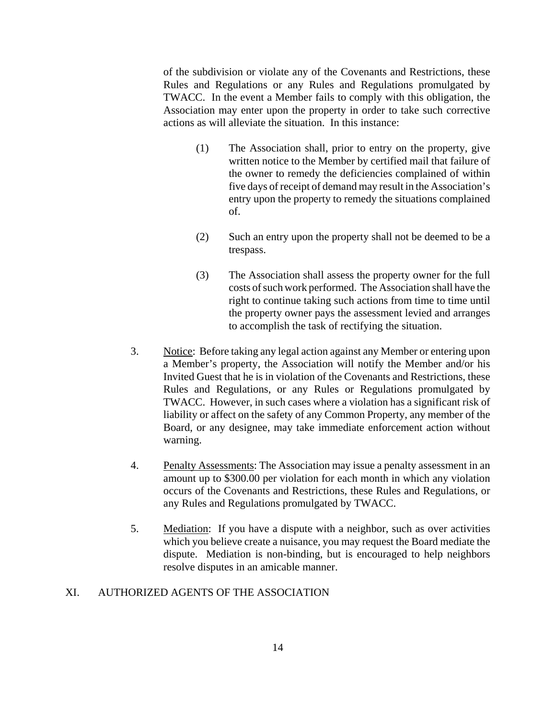of the subdivision or violate any of the Covenants and Restrictions, these Rules and Regulations or any Rules and Regulations promulgated by TWACC. In the event a Member fails to comply with this obligation, the Association may enter upon the property in order to take such corrective actions as will alleviate the situation. In this instance:

- (1) The Association shall, prior to entry on the property, give written notice to the Member by certified mail that failure of the owner to remedy the deficiencies complained of within five days of receipt of demand may result in the Association's entry upon the property to remedy the situations complained of.
- (2) Such an entry upon the property shall not be deemed to be a trespass.
- (3) The Association shall assess the property owner for the full costs of such work performed. The Association shall have the right to continue taking such actions from time to time until the property owner pays the assessment levied and arranges to accomplish the task of rectifying the situation.
- 3. Notice: Before taking any legal action against any Member or entering upon a Member's property, the Association will notify the Member and/or his Invited Guest that he is in violation of the Covenants and Restrictions, these Rules and Regulations, or any Rules or Regulations promulgated by TWACC.However, in such cases where a violation has a significant risk of liability or affect on the safety of any Common Property, any member of the Board, or any designee, may take immediate enforcement action without warning.
- 4. Penalty Assessments: The Association may issue a penalty assessment in an amount up to \$300.00 per violation for each month in which any violation occurs of the Covenants and Restrictions, these Rules and Regulations, or any Rules and Regulations promulgated by TWACC.
- 5. Mediation: If you have a dispute with a neighbor, such as over activities which you believe create a nuisance, you may request the Board mediate the dispute. Mediation is non-binding, but is encouraged to help neighbors resolve disputes in an amicable manner.

#### XI. AUTHORIZED AGENTS OF THE ASSOCIATION